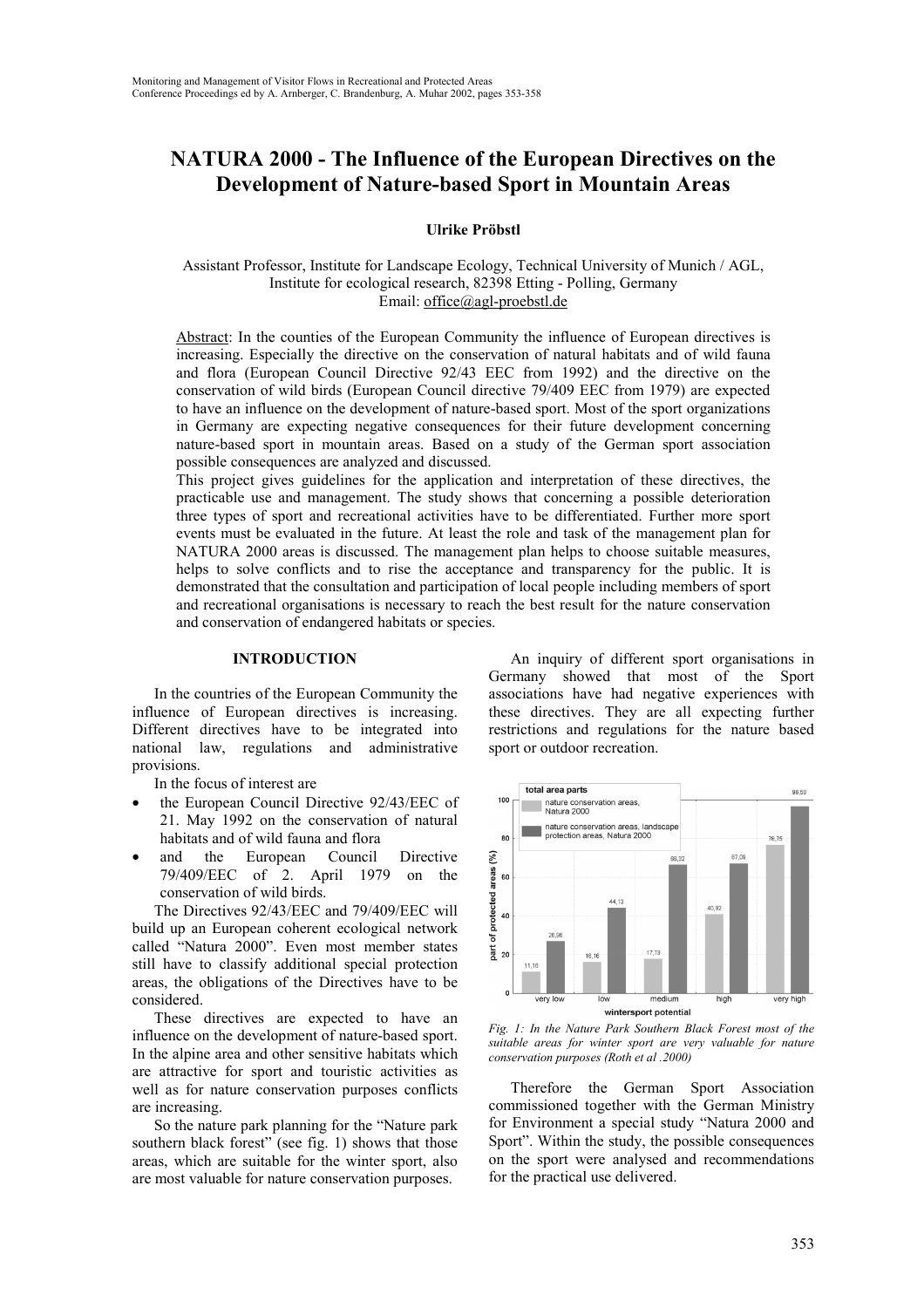# **NATURA 2000 - The Influence of the European Directives on the Development of Nature-based Sport in Mountain Areas**

**Ulrike Pröbstl**

Assistant Professor, Institute for Landscape Ecology, Technical University of Munich / AGL, Institute for ecological research, 82398 Etting - Polling, Germany Email: office@agl-proebstl.de

Abstract: In the counties of the European Community the influence of European directives is increasing. Especially the directive on the conservation of natural habitats and of wild fauna and flora (European Council Directive 92/43 EEC from 1992) and the directive on the conservation of wild birds (European Council directive 79/409 EEC from 1979) are expected to have an influence on the development of nature-based sport. Most of the sport organizations in Germany are expecting negative consequences for their future development concerning nature-based sport in mountain areas. Based on a study of the German sport association possible consequences are analyzed and discussed.

This project gives guidelines for the application and interpretation of these directives, the practicable use and management. The study shows that concerning a possible deterioration three types of sport and recreational activities have to be differentiated. Further more sport events must be evaluated in the future. At least the role and task of the management plan for NATURA 2000 areas is discussed. The management plan helps to choose suitable measures, helps to solve conflicts and to rise the acceptance and transparency for the public. It is demonstrated that the consultation and participation of local people including members of sport and recreational organisations is necessary to reach the best result for the nature conservation and conservation of endangered habitats or species.

#### **INTRODUCTION**

In the countries of the European Community the influence of European directives is increasing. Different directives have to be integrated into national law, regulations and administrative provisions.

In the focus of interest are

- the European Council Directive 92/43/EEC of 21. May 1992 on the conservation of natural habitats and of wild fauna and flora
- and the European Council Directive 79/409/EEC of 2. April 1979 on the conservation of wild birds.

The Directives 92/43/EEC and 79/409/EEC will build up an European coherent ecological network called "Natura 2000". Even most member states still have to classify additional special protection areas, the obligations of the Directives have to be considered.

These directives are expected to have an influence on the development of nature-based sport. In the alpine area and other sensitive habitats which are attractive for sport and touristic activities as well as for nature conservation purposes conflicts are increasing.

So the nature park planning for the "Nature park southern black forest" (see fig. 1) shows that those areas, which are suitable for the winter sport, also are most valuable for nature conservation purposes.

An inquiry of different sport organisations in Germany showed that most of the Sport associations have had negative experiences with these directives. They are all expecting further restrictions and regulations for the nature based sport or outdoor recreation.



*Fig. 1: In the Nature Park Southern Black Forest most of the suitable areas for winter sport are very valuable for nature conservation purposes (Roth et al .2000)*

Therefore the German Sport Association commissioned together with the German Ministry for Environment a special study "Natura 2000 and Sport". Within the study, the possible consequences on the sport were analysed and recommendations for the practical use delivered.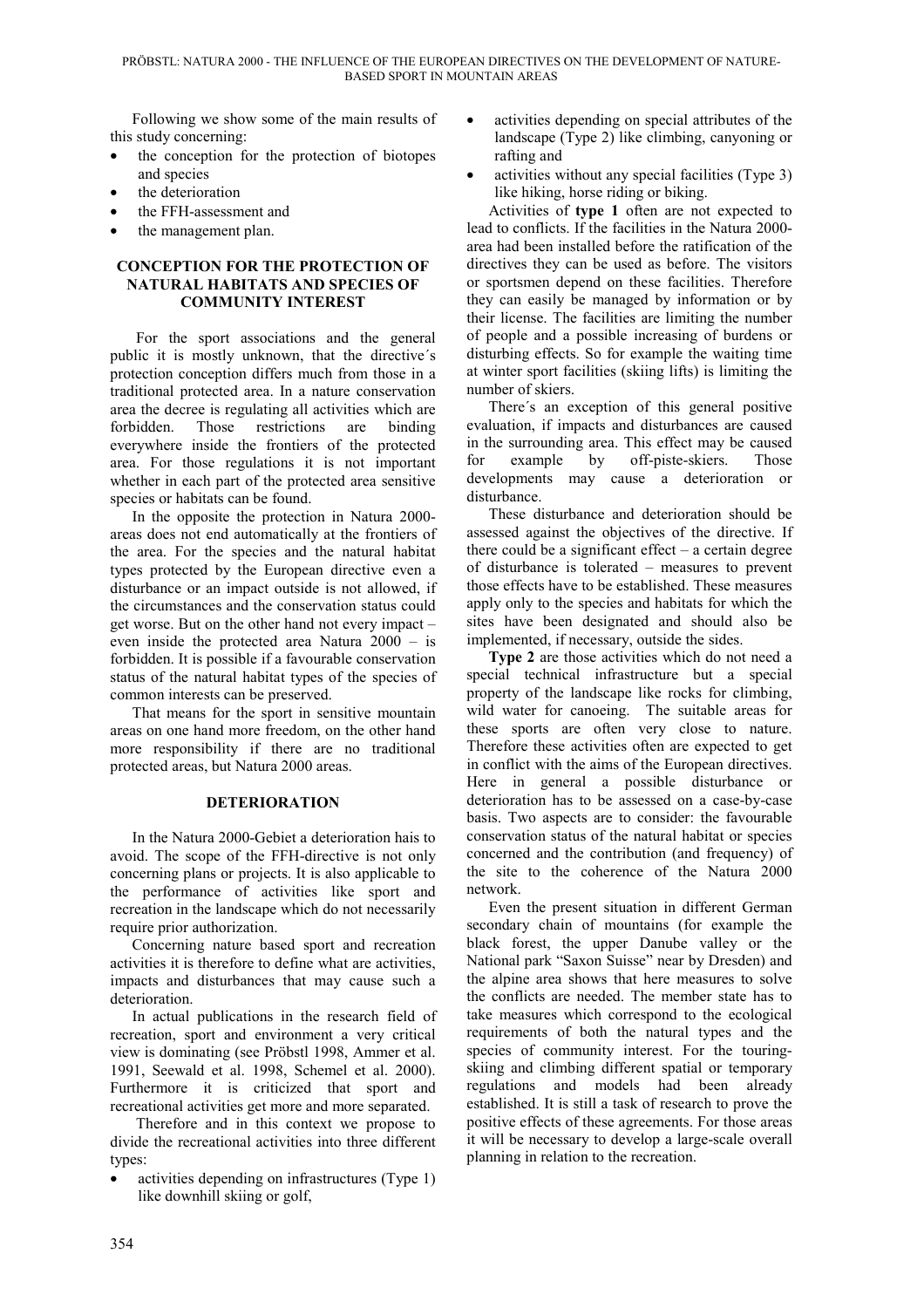Following we show some of the main results of this study concerning:

- the conception for the protection of biotopes and species
- the deterioration
- the FFH-assessment and
- the management plan.

#### **CONCEPTION FOR THE PROTECTION OF NATURAL HABITATS AND SPECIES OF COMMUNITY INTEREST**

 For the sport associations and the general public it is mostly unknown, that the directive´s protection conception differs much from those in a traditional protected area. In a nature conservation area the decree is regulating all activities which are forbidden. Those restrictions are binding everywhere inside the frontiers of the protected area. For those regulations it is not important whether in each part of the protected area sensitive species or habitats can be found.

In the opposite the protection in Natura 2000 areas does not end automatically at the frontiers of the area. For the species and the natural habitat types protected by the European directive even a disturbance or an impact outside is not allowed, if the circumstances and the conservation status could get worse. But on the other hand not every impact – even inside the protected area Natura 2000 – is forbidden. It is possible if a favourable conservation status of the natural habitat types of the species of common interests can be preserved.

That means for the sport in sensitive mountain areas on one hand more freedom, on the other hand more responsibility if there are no traditional protected areas, but Natura 2000 areas.

## **DETERIORATION**

In the Natura 2000-Gebiet a deterioration hais to avoid. The scope of the FFH-directive is not only concerning plans or projects. It is also applicable to the performance of activities like sport and recreation in the landscape which do not necessarily require prior authorization.

Concerning nature based sport and recreation activities it is therefore to define what are activities, impacts and disturbances that may cause such a deterioration.

In actual publications in the research field of recreation, sport and environment a very critical view is dominating (see Pröbstl 1998, Ammer et al. 1991, Seewald et al. 1998, Schemel et al. 2000). Furthermore it is criticized that sport and recreational activities get more and more separated.

 Therefore and in this context we propose to divide the recreational activities into three different types:

activities depending on infrastructures (Type 1) like downhill skiing or golf,

- activities depending on special attributes of the landscape (Type 2) like climbing, canyoning or rafting and
- activities without any special facilities (Type 3) like hiking, horse riding or biking.

Activities of **type 1** often are not expected to lead to conflicts. If the facilities in the Natura 2000 area had been installed before the ratification of the directives they can be used as before. The visitors or sportsmen depend on these facilities. Therefore they can easily be managed by information or by their license. The facilities are limiting the number of people and a possible increasing of burdens or disturbing effects. So for example the waiting time at winter sport facilities (skiing lifts) is limiting the number of skiers.

There´s an exception of this general positive evaluation, if impacts and disturbances are caused in the surrounding area. This effect may be caused for example by off-piste-skiers. Those developments may cause a deterioration or disturbance.

These disturbance and deterioration should be assessed against the objectives of the directive. If there could be a significant effect  $-$  a certain degree of disturbance is tolerated – measures to prevent those effects have to be established. These measures apply only to the species and habitats for which the sites have been designated and should also be implemented, if necessary, outside the sides.

**Type 2** are those activities which do not need a special technical infrastructure but a special property of the landscape like rocks for climbing, wild water for canoeing. The suitable areas for these sports are often very close to nature. Therefore these activities often are expected to get in conflict with the aims of the European directives. Here in general a possible disturbance or deterioration has to be assessed on a case-by-case basis. Two aspects are to consider: the favourable conservation status of the natural habitat or species concerned and the contribution (and frequency) of the site to the coherence of the Natura 2000 network.

Even the present situation in different German secondary chain of mountains (for example the black forest, the upper Danube valley or the National park "Saxon Suisse" near by Dresden) and the alpine area shows that here measures to solve the conflicts are needed. The member state has to take measures which correspond to the ecological requirements of both the natural types and the species of community interest. For the touringskiing and climbing different spatial or temporary regulations and models had been already established. It is still a task of research to prove the positive effects of these agreements. For those areas it will be necessary to develop a large-scale overall planning in relation to the recreation.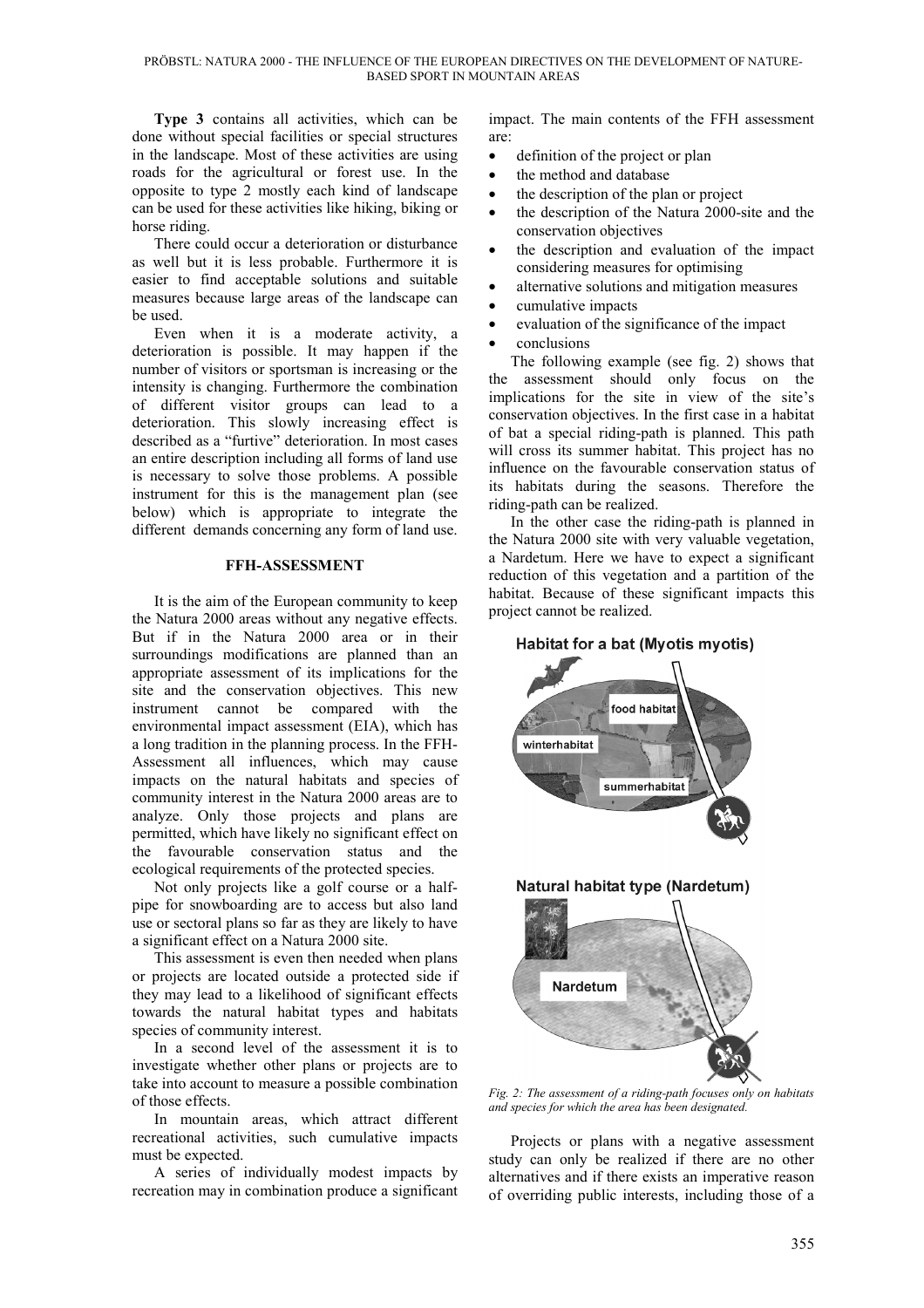**Type 3** contains all activities, which can be done without special facilities or special structures in the landscape. Most of these activities are using roads for the agricultural or forest use. In the opposite to type 2 mostly each kind of landscape can be used for these activities like hiking, biking or horse riding.

There could occur a deterioration or disturbance as well but it is less probable. Furthermore it is easier to find acceptable solutions and suitable measures because large areas of the landscape can be used.

Even when it is a moderate activity, a deterioration is possible. It may happen if the number of visitors or sportsman is increasing or the intensity is changing. Furthermore the combination of different visitor groups can lead to a deterioration. This slowly increasing effect is described as a "furtive" deterioration. In most cases an entire description including all forms of land use is necessary to solve those problems. A possible instrument for this is the management plan (see below) which is appropriate to integrate the different demands concerning any form of land use.

#### **FFH-ASSESSMENT**

It is the aim of the European community to keep the Natura 2000 areas without any negative effects. But if in the Natura 2000 area or in their surroundings modifications are planned than an appropriate assessment of its implications for the site and the conservation objectives. This new instrument cannot be compared with the environmental impact assessment (EIA), which has a long tradition in the planning process. In the FFH-Assessment all influences, which may cause impacts on the natural habitats and species of community interest in the Natura 2000 areas are to analyze. Only those projects and plans are permitted, which have likely no significant effect on the favourable conservation status and the ecological requirements of the protected species.

Not only projects like a golf course or a halfpipe for snowboarding are to access but also land use or sectoral plans so far as they are likely to have a significant effect on a Natura 2000 site.

This assessment is even then needed when plans or projects are located outside a protected side if they may lead to a likelihood of significant effects towards the natural habitat types and habitats species of community interest.

In a second level of the assessment it is to investigate whether other plans or projects are to take into account to measure a possible combination of those effects.

In mountain areas, which attract different recreational activities, such cumulative impacts must be expected.

A series of individually modest impacts by recreation may in combination produce a significant

impact. The main contents of the FFH assessment are:

- definition of the project or plan
- the method and database
- the description of the plan or project
- the description of the Natura 2000-site and the conservation objectives
- the description and evaluation of the impact considering measures for optimising
- alternative solutions and mitigation measures
- cumulative impacts
- evaluation of the significance of the impact
- conclusions

The following example (see fig. 2) shows that assessment should only focus on the implications for the site in view of the site's conservation objectives. In the first case in a habitat of bat a special riding-path is planned. This path will cross its summer habitat. This project has no influence on the favourable conservation status of its habitats during the seasons. Therefore the riding-path can be realized.

In the other case the riding-path is planned in the Natura 2000 site with very valuable vegetation, a Nardetum. Here we have to expect a significant reduction of this vegetation and a partition of the habitat. Because of these significant impacts this project cannot be realized.





*Fig. 2: The assessment of a riding-path focuses only on habitats and species for which the area has been designated.*

Projects or plans with a negative assessment study can only be realized if there are no other alternatives and if there exists an imperative reason of overriding public interests, including those of a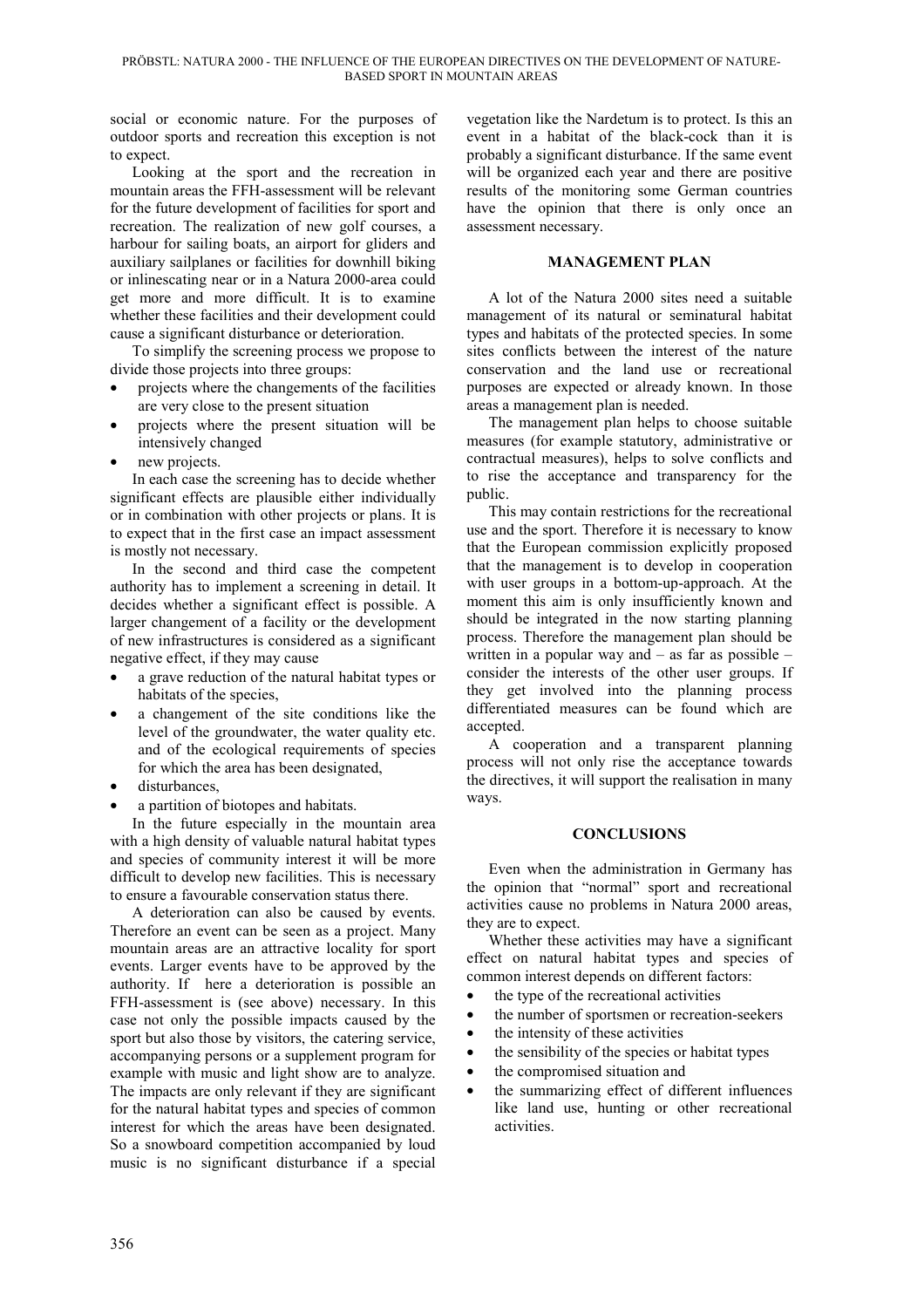social or economic nature. For the purposes of outdoor sports and recreation this exception is not to expect.

Looking at the sport and the recreation in mountain areas the FFH-assessment will be relevant for the future development of facilities for sport and recreation. The realization of new golf courses, a harbour for sailing boats, an airport for gliders and auxiliary sailplanes or facilities for downhill biking or inlinescating near or in a Natura 2000-area could get more and more difficult. It is to examine whether these facilities and their development could cause a significant disturbance or deterioration.

To simplify the screening process we propose to divide those projects into three groups:

- projects where the changements of the facilities are very close to the present situation
- projects where the present situation will be intensively changed
- new projects.

In each case the screening has to decide whether significant effects are plausible either individually or in combination with other projects or plans. It is to expect that in the first case an impact assessment is mostly not necessary.

In the second and third case the competent authority has to implement a screening in detail. It decides whether a significant effect is possible. A larger changement of a facility or the development of new infrastructures is considered as a significant negative effect, if they may cause

- a grave reduction of the natural habitat types or habitats of the species,
- a changement of the site conditions like the level of the groundwater, the water quality etc. and of the ecological requirements of species for which the area has been designated,
- disturbances,
- a partition of biotopes and habitats.

In the future especially in the mountain area with a high density of valuable natural habitat types and species of community interest it will be more difficult to develop new facilities. This is necessary to ensure a favourable conservation status there.

A deterioration can also be caused by events. Therefore an event can be seen as a project. Many mountain areas are an attractive locality for sport events. Larger events have to be approved by the authority. If here a deterioration is possible an FFH-assessment is (see above) necessary. In this case not only the possible impacts caused by the sport but also those by visitors, the catering service, accompanying persons or a supplement program for example with music and light show are to analyze. The impacts are only relevant if they are significant for the natural habitat types and species of common interest for which the areas have been designated. So a snowboard competition accompanied by loud music is no significant disturbance if a special

vegetation like the Nardetum is to protect. Is this an event in a habitat of the black-cock than it is probably a significant disturbance. If the same event will be organized each year and there are positive results of the monitoring some German countries have the opinion that there is only once an assessment necessary.

### **MANAGEMENT PLAN**

A lot of the Natura 2000 sites need a suitable management of its natural or seminatural habitat types and habitats of the protected species. In some sites conflicts between the interest of the nature conservation and the land use or recreational purposes are expected or already known. In those areas a management plan is needed.

The management plan helps to choose suitable measures (for example statutory, administrative or contractual measures), helps to solve conflicts and to rise the acceptance and transparency for the public.

This may contain restrictions for the recreational use and the sport. Therefore it is necessary to know that the European commission explicitly proposed that the management is to develop in cooperation with user groups in a bottom-up-approach. At the moment this aim is only insufficiently known and should be integrated in the now starting planning process. Therefore the management plan should be written in a popular way and – as far as possible – consider the interests of the other user groups. If they get involved into the planning process differentiated measures can be found which are accepted.

A cooperation and a transparent planning process will not only rise the acceptance towards the directives, it will support the realisation in many ways.

#### **CONCLUSIONS**

Even when the administration in Germany has the opinion that "normal" sport and recreational activities cause no problems in Natura 2000 areas, they are to expect.

Whether these activities may have a significant effect on natural habitat types and species of common interest depends on different factors:

- the type of the recreational activities
- the number of sportsmen or recreation-seekers
- the intensity of these activities
- the sensibility of the species or habitat types
- the compromised situation and
- the summarizing effect of different influences like land use, hunting or other recreational activities.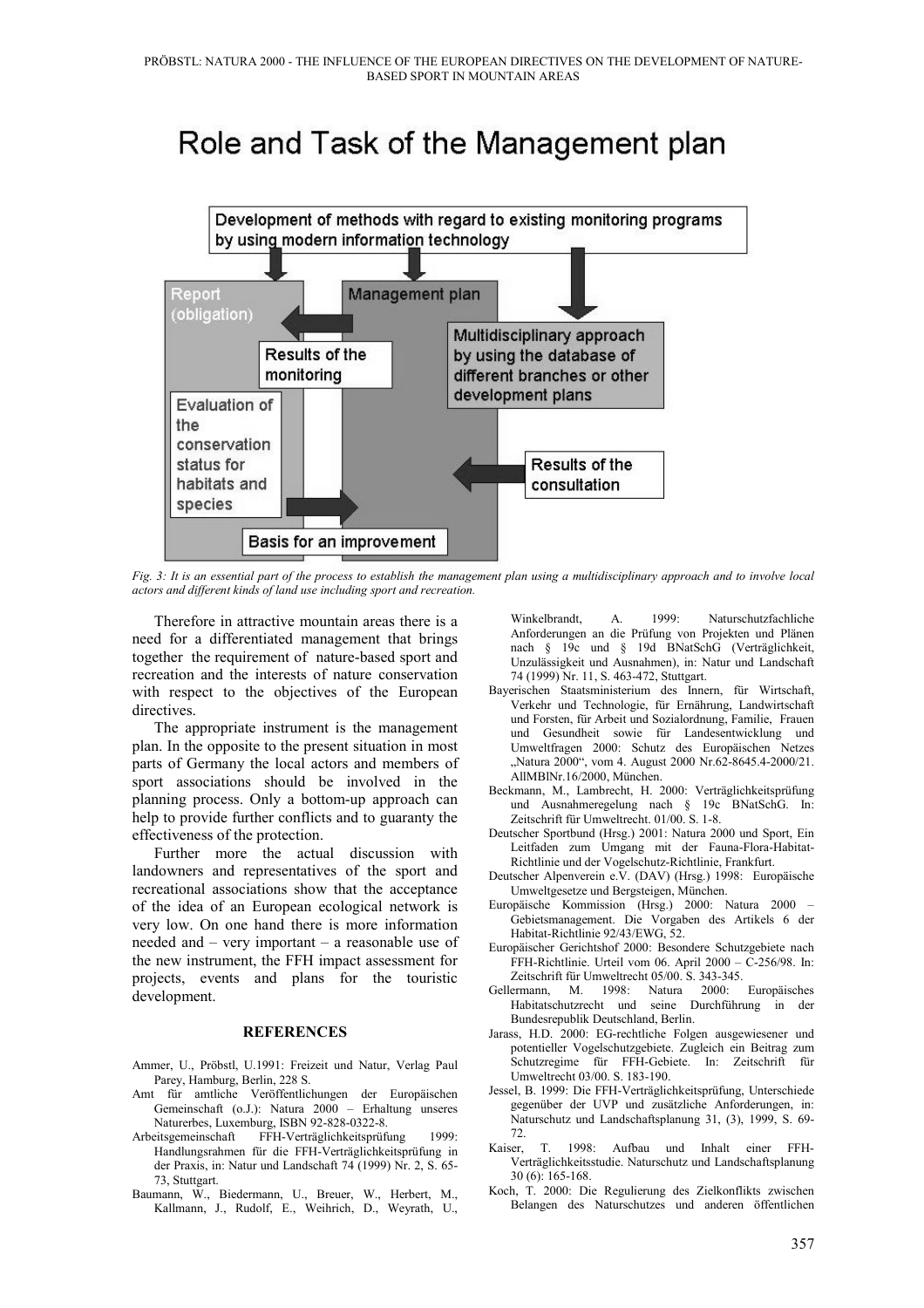# Role and Task of the Management plan



*Fig. 3: It is an essential part of the process to establish the management plan using a multidisciplinary approach and to involve local actors and different kinds of land use including sport and recreation.*

Therefore in attractive mountain areas there is a need for a differentiated management that brings together the requirement of nature-based sport and recreation and the interests of nature conservation with respect to the objectives of the European directives.

The appropriate instrument is the management plan. In the opposite to the present situation in most parts of Germany the local actors and members of sport associations should be involved in the planning process. Only a bottom-up approach can help to provide further conflicts and to guaranty the effectiveness of the protection.

Further more the actual discussion with landowners and representatives of the sport and recreational associations show that the acceptance of the idea of an European ecological network is very low. On one hand there is more information needed and – very important – a reasonable use of the new instrument, the FFH impact assessment for projects, events and plans for the touristic development.

#### **REFERENCES**

- Ammer, U., Pröbstl, U.1991: Freizeit und Natur, Verlag Paul Parey, Hamburg, Berlin, 228 S.
- Amt für amtliche Veröffentlichungen der Europäischen Gemeinschaft (o.J.): Natura 2000 – Erhaltung unseres Naturerbes, Luxemburg, ISBN 92-828-0322-8.
- Arbeitsgemeinschaft FFH-Verträglichkeitsprüfung 1999: Handlungsrahmen für die FFH-Verträglichkeitsprüfung in der Praxis, in: Natur und Landschaft 74 (1999) Nr. 2, S. 65- 73, Stuttgart.
- Baumann, W., Biedermann, U., Breuer, W., Herbert, M., Kallmann, J., Rudolf, E., Weihrich, D., Weyrath, U.,

Winkelbrandt, A. 1999: Naturschutzfachliche Anforderungen an die Prüfung von Projekten und Plänen nach § 19c und § 19d BNatSchG (Verträglichkeit, Unzulässigkeit und Ausnahmen), in: Natur und Landschaft 74 (1999) Nr. 11, S. 463-472, Stuttgart.

- Bayerischen Staatsministerium des Innern, für Wirtschaft, Verkehr und Technologie, für Ernährung, Landwirtschaft und Forsten, für Arbeit und Sozialordnung, Familie, Frauen und Gesundheit sowie für Landesentwicklung und Umweltfragen 2000: Schutz des Europäischen Netzes "Natura 2000", vom 4. August 2000 Nr.62-8645.4-2000/21. AllMBlNr.16/2000, München.
- Beckmann, M., Lambrecht, H. 2000: Verträglichkeitsprüfung und Ausnahmeregelung nach § 19c BNatSchG. In: Zeitschrift für Umweltrecht. 01/00. S. 1-8.
- Deutscher Sportbund (Hrsg.) 2001: Natura 2000 und Sport, Ein Leitfaden zum Umgang mit der Fauna-Flora-Habitat-Richtlinie und der Vogelschutz-Richtlinie, Frankfurt.
- Deutscher Alpenverein e.V. (DAV) (Hrsg.) 1998: Europäische Umweltgesetze und Bergsteigen, München.
- Europäische Kommission (Hrsg.) 2000: Natura 2000 Gebietsmanagement. Die Vorgaben des Artikels 6 der Habitat-Richtlinie 92/43/EWG, 52.
- Europäischer Gerichtshof 2000: Besondere Schutzgebiete nach FFH-Richtlinie. Urteil vom 06. April 2000 – C-256/98. In: Zeitschrift für Umweltrecht 05/00. S. 343-345.
- Gellermann, M. 1998: Natura 2000: Europäisches Habitatschutzrecht und seine Durchführung in der Bundesrepublik Deutschland, Berlin.
- Jarass, H.D. 2000: EG-rechtliche Folgen ausgewiesener und potentieller Vogelschutzgebiete. Zugleich ein Beitrag zum Schutzregime für FFH-Gebiete. In: Zeitschrift für Umweltrecht 03/00. S. 183-190.
- Jessel, B. 1999: Die FFH-Verträglichkeitsprüfung, Unterschiede gegenüber der UVP und zusätzliche Anforderungen, in: Naturschutz und Landschaftsplanung 31, (3), 1999, S. 69- 72.
- Kaiser, T. 1998: Aufbau und Inhalt einer FFH-Verträglichkeitsstudie. Naturschutz und Landschaftsplanung 30 (6): 165-168.
- Koch, T. 2000: Die Regulierung des Zielkonflikts zwischen Belangen des Naturschutzes und anderen öffentlichen